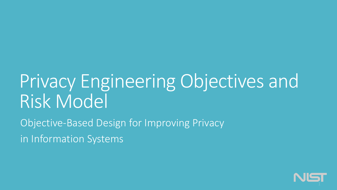## Privacy Engineering Objectives and Risk Model

Objective-Based Design for Improving Privacy in Information Systems

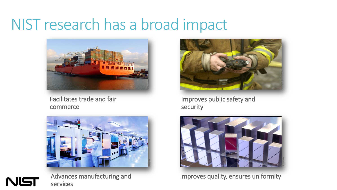### NIST research has a broad impact



Facilitates trade and fair commerce





Advances manufacturing and services



Improves public safety and security



Improves quality, ensures uniformity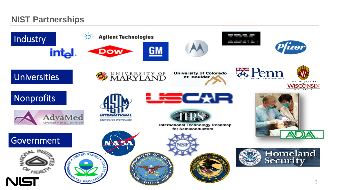### **NIST Partnerships**

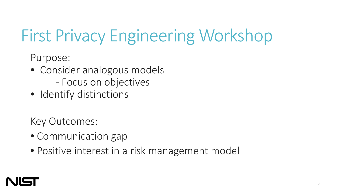## First Privacy Engineering Workshop

Purpose:

- Consider analogous models
	- Focus on objectives
- Identify distinctions

Key Outcomes:

- Communication gap
- Positive interest in a risk management model

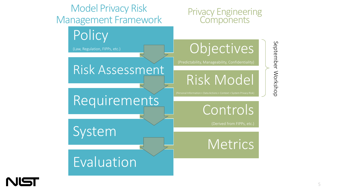

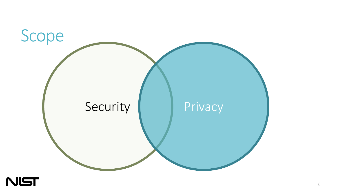

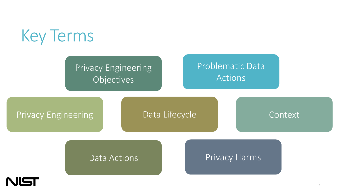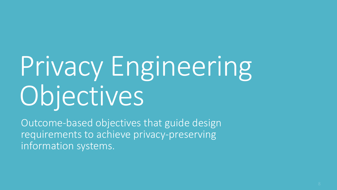# Privacy Engineering Objectives

Outcome-based objectives that guide design requirements to achieve privacy-preserving information systems.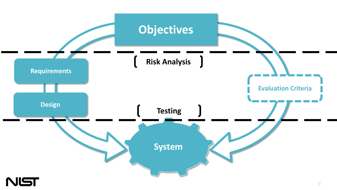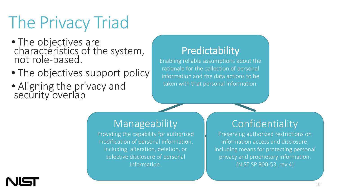## The Privacy Triad

- The objectives are characteristics of the system, not role-based.
- The objectives support policy
- Aligning the privacy and security overlap

**Predictability**<br>Enabling reliable assumptions about the rationale for the collection of personal information and the data actions to be taken with that personal information.

### Manageability

Providing the capability for authorized modification of personal information, including alteration, deletion, or selective disclosure of personal information.

### Confidentiality

Preserving authorized restrictions on information access and disclosure, including means for protecting personal privacy and proprietary information. (NIST SP 800-53, rev 4)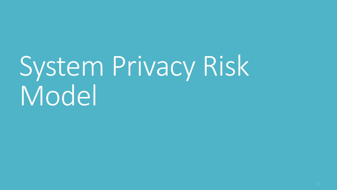# System Privacy Risk Model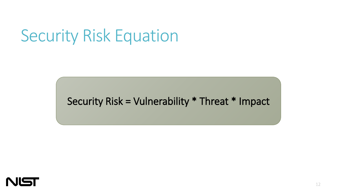## Security Risk Equation

### Security Risk = Vulnerability \* Threat \* Impact

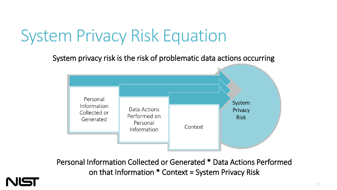## System Privacy Risk Equation

System privacy risk is the risk of problematic data actions occurring



Personal Information Collected or Generated \* Data Actions Performed on that Information \* Context = System Privacy Risk

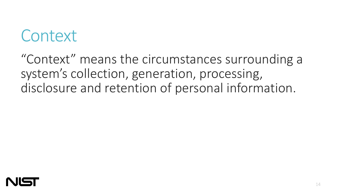## **Context**

"Context" means the circumstances surrounding a system's collection, generation, processing, disclosure and retention of personal information.

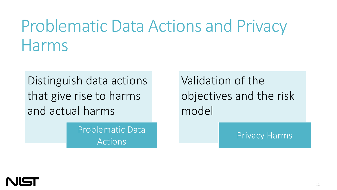## Problematic Data Actions and Privacy Harms

Distinguish data actions that give rise to harms and actual harms

> Problematic Data Actions

Validation of the objectives and the risk model

Privacy Harms

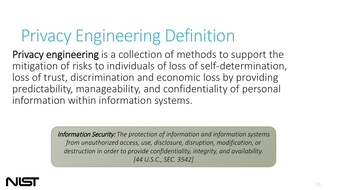## Privacy Engineering Definition

Privacy engineering is a collection of methods to support the mitigation of risks to individuals of loss of self-determination, loss of trust, discrimination and economic loss by providing predictability, manageability, and confidentiality of personal information within information systems.

> Information Security: *The protection of information and information systems from unauthorized access, use, disclosure, disruption, modification, or destruction in order to provide confidentiality, integrity, and availability. [44 U.S.C., SEC. 3542]*

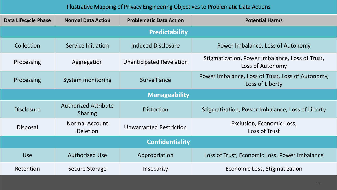#### Illustrative Mapping of Privacy Engineering Objectives to Problematic Data Actions

| <b>Data Lifecycle Phase</b> | <b>Normal Data Action</b>                     | <b>Problematic Data Action</b>  | <b>Potential Harms</b>                                               |
|-----------------------------|-----------------------------------------------|---------------------------------|----------------------------------------------------------------------|
| <b>Predictability</b>       |                                               |                                 |                                                                      |
| Collection                  | Service Initiation                            | <b>Induced Disclosure</b>       | Power Imbalance, Loss of Autonomy                                    |
| Processing                  | Aggregation                                   | <b>Unanticipated Revelation</b> | Stigmatization, Power Imbalance, Loss of Trust,<br>Loss of Autonomy  |
| Processing                  | System monitoring                             | Surveillance                    | Power Imbalance, Loss of Trust, Loss of Autonomy,<br>Loss of Liberty |
| <b>Manageability</b>        |                                               |                                 |                                                                      |
| <b>Disclosure</b>           | <b>Authorized Attribute</b><br><b>Sharing</b> | <b>Distortion</b>               | Stigmatization, Power Imbalance, Loss of Liberty                     |
| Disposal                    | <b>Normal Account</b><br><b>Deletion</b>      | <b>Unwarranted Restriction</b>  | Exclusion, Economic Loss,<br>Loss of Trust                           |
| <b>Confidentiality</b>      |                                               |                                 |                                                                      |
| <b>Use</b>                  | <b>Authorized Use</b>                         | Appropriation                   | Loss of Trust, Economic Loss, Power Imbalance                        |
| Retention                   | <b>Secure Storage</b>                         | Insecurity                      | Economic Loss, Stigmatization                                        |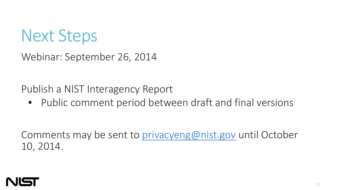

Webinar: September 26, 2014

Publish a NIST Interagency Report

• Public comment period between draft and final versions

Comments may be sent to [privacyeng@](mailto:privacyeng@nist.gov)[nist.gov](http://nist.gov) until October 10, 2014.